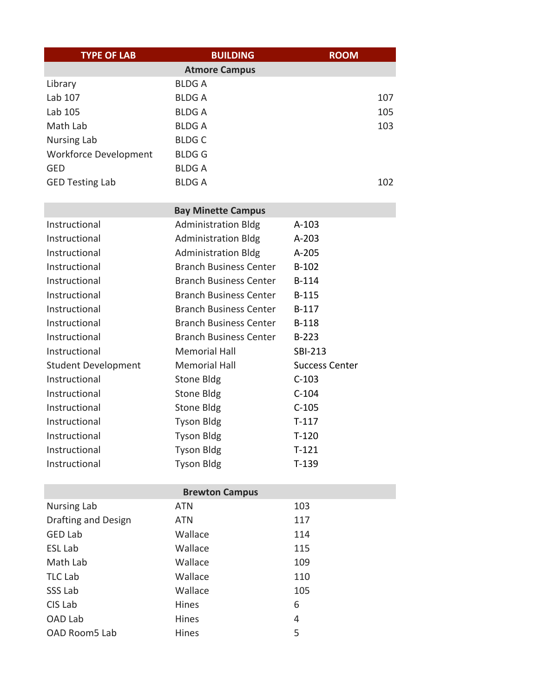| <b>TYPE OF LAB</b>                          | <b>BUILDING</b>                                             | <b>ROOM</b>           |  |
|---------------------------------------------|-------------------------------------------------------------|-----------------------|--|
|                                             | <b>Atmore Campus</b>                                        |                       |  |
| Library                                     | <b>BLDGA</b>                                                |                       |  |
| Lab 107                                     | <b>BLDGA</b>                                                | 107                   |  |
| Lab 105                                     | <b>BLDGA</b>                                                | 105                   |  |
| Math Lab                                    | <b>BLDGA</b>                                                | 103                   |  |
| <b>Nursing Lab</b>                          | <b>BLDGC</b>                                                |                       |  |
| <b>Workforce Development</b>                | <b>BLDGG</b>                                                |                       |  |
| <b>GED</b>                                  | <b>BLDGA</b>                                                |                       |  |
| <b>GED Testing Lab</b>                      | <b>BLDGA</b>                                                | 102                   |  |
|                                             |                                                             |                       |  |
|                                             | <b>Bay Minette Campus</b>                                   |                       |  |
| Instructional                               | <b>Administration Bldg</b>                                  | $A-103$               |  |
| Instructional<br>Instructional              | <b>Administration Bldg</b>                                  | $A-203$               |  |
| Instructional                               | <b>Administration Bldg</b><br><b>Branch Business Center</b> | A-205                 |  |
| Instructional                               | <b>Branch Business Center</b>                               | $B-102$<br>B-114      |  |
| Instructional                               | <b>Branch Business Center</b>                               |                       |  |
| Instructional                               | <b>Branch Business Center</b>                               | B-115                 |  |
| Instructional                               | <b>Branch Business Center</b>                               | B-117<br><b>B-118</b> |  |
| Instructional                               | <b>Branch Business Center</b>                               | $B-223$               |  |
| Instructional                               | <b>Memorial Hall</b>                                        | <b>SBI-213</b>        |  |
|                                             | <b>Memorial Hall</b>                                        | <b>Success Center</b> |  |
| <b>Student Development</b><br>Instructional |                                                             | $C-103$               |  |
| Instructional                               | <b>Stone Bldg</b>                                           | $C-104$               |  |
| Instructional                               | <b>Stone Bldg</b>                                           | $C-105$               |  |
| Instructional                               | <b>Stone Bldg</b>                                           | $T-117$               |  |
| Instructional                               | <b>Tyson Bldg</b>                                           | $T-120$               |  |
|                                             | <b>Tyson Bldg</b>                                           |                       |  |
| Instructional<br>Instructional              | <b>Tyson Bldg</b>                                           | $T-121$<br>$T-139$    |  |
|                                             | <b>Tyson Bldg</b>                                           |                       |  |
| <b>Brewton Campus</b>                       |                                                             |                       |  |
| <b>Nursing Lab</b>                          | <b>ATN</b>                                                  | 103                   |  |
| <b>Drafting and Design</b>                  | <b>ATN</b>                                                  | 117                   |  |
| <b>GED Lab</b>                              | Wallace                                                     | 114                   |  |
| <b>ESL Lab</b>                              | Wallace                                                     | 115                   |  |
| Math Lab                                    | Wallace                                                     | 109                   |  |
| <b>TLC Lab</b>                              | Wallace                                                     | 110                   |  |
| SSS Lab                                     | Wallace                                                     | 105                   |  |
| CIS Lab                                     | Hines                                                       | 6                     |  |
| OAD Lab                                     | Hines                                                       | 4                     |  |
| OAD Room5 Lab                               | Hines                                                       | 5                     |  |